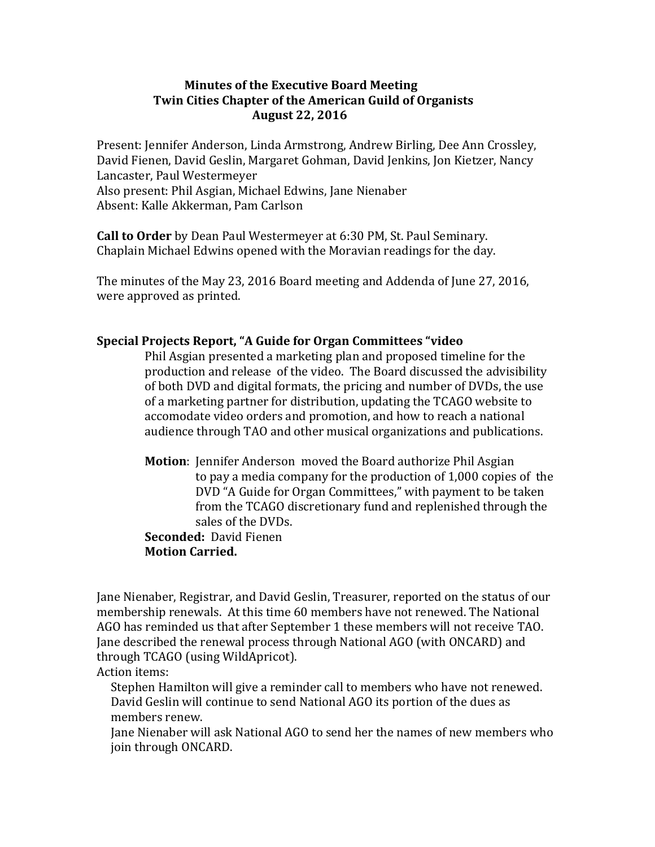### **Minutes of the Executive Board Meeting Twin Cities Chapter of the American Guild of Organists August 22, 2016**

Present: Jennifer Anderson, Linda Armstrong, Andrew Birling, Dee Ann Crossley, David Fienen, David Geslin, Margaret Gohman, David Jenkins, Jon Kietzer, Nancy Lancaster, Paul Westermeyer Also present: Phil Asgian, Michael Edwins, Jane Nienaber Absent: Kalle Akkerman, Pam Carlson

**Call to Order** by Dean Paul Westermeyer at 6:30 PM, St. Paul Seminary. Chaplain Michael Edwins opened with the Moravian readings for the day.

The minutes of the May 23, 2016 Board meeting and Addenda of June 27, 2016, were approved as printed.

# **Special Projects Report, "A Guide for Organ Committees "video**

Phil Asgian presented a marketing plan and proposed timeline for the production and release of the video. The Board discussed the advisibility of both DVD and digital formats, the pricing and number of DVDs, the use of a marketing partner for distribution, updating the TCAGO website to accomodate video orders and promotion, and how to reach a national audience through TAO and other musical organizations and publications.

**Motion:** Jennifer Anderson moved the Board authorize Phil Asgian to pay a media company for the production of  $1,000$  copies of the DVD "A Guide for Organ Committees," with payment to be taken from the TCAGO discretionary fund and replenished through the sales of the DVDs.

**Seconded: David Fienen Motion Carried.**

Jane Nienaber, Registrar, and David Geslin, Treasurer, reported on the status of our membership renewals. At this time 60 members have not renewed. The National AGO has reminded us that after September 1 these members will not receive TAO. Jane described the renewal process through National AGO (with ONCARD) and through TCAGO (using WildApricot).

# Action items:

Stephen Hamilton will give a reminder call to members who have not renewed. David Geslin will continue to send National AGO its portion of the dues as members renew.

Lane Nienaber will ask National AGO to send her the names of new members who join through ONCARD.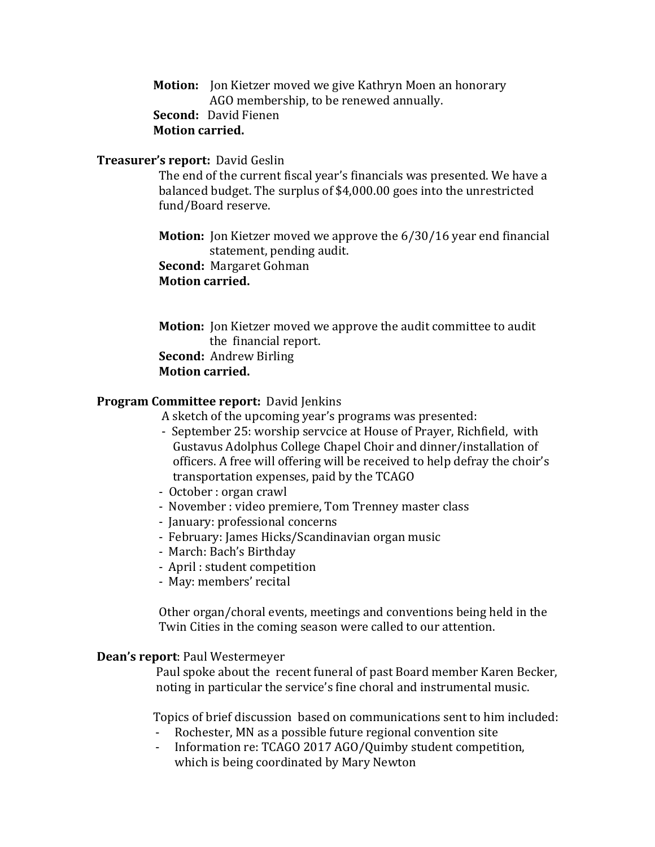**Motion:** Jon Kietzer moved we give Kathryn Moen an honorary AGO membership, to be renewed annually. **Second:** David Fienen **Motion carried.**

#### **Treasurer's report:** David Geslin

The end of the current fiscal year's financials was presented. We have a balanced budget. The surplus of \$4,000.00 goes into the unrestricted fund/Board reserve.

**Motion:** Jon Kietzer moved we approve the 6/30/16 year end financial statement, pending audit.

**Second:** Margaret Gohman

 **Motion carried.**

**Motion:** Ion Kietzer moved we approve the audit committee to audit the financial report. **Second:** Andrew Birling **Motion carried.** 

### **Program Committee report: David Jenkins**

A sketch of the upcoming year's programs was presented:

- September 25: worship servcice at House of Prayer, Richfield, with Gustavus Adolphus College Chapel Choir and dinner/installation of officers. A free will offering will be received to help defray the choir's transportation expenses, paid by the TCAGO
- October : organ crawl
- November : video premiere, Tom Trenney master class
- January: professional concerns
- February: James Hicks/Scandinavian organ music
- March: Bach's Birthday
- April : student competition
- May: members' recital

Other organ/choral events, meetings and conventions being held in the Twin Cities in the coming season were called to our attention.

#### **Dean's report: Paul Westermeyer**

Paul spoke about the recent funeral of past Board member Karen Becker, noting in particular the service's fine choral and instrumental music.

Topics of brief discussion based on communications sent to him included:

- Rochester, MN as a possible future regional convention site
- Information re: TCAGO 2017 AGO/Quimby student competition, which is being coordinated by Mary Newton